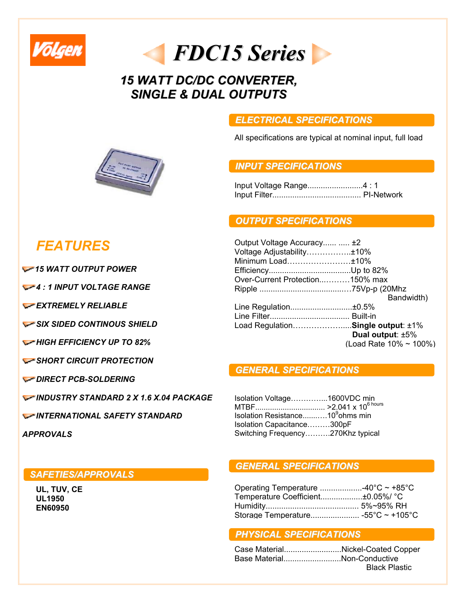

*FDC15Series*

# *15 WATT DC/DC CONVERTER, SINGLE & DUAL OUTPUTS*

### *ELECTRICAL SPECIFICATIONS*

All specifications are typical at nominal input, full load

## *INPUT SPECIFICATIONS*

Input Voltage Range.........................4 : 1 Input Filter........................................ PI-Network

#### *OUTPUT SPECIFICATIONS*

| Output Voltage Accuracy  ±2       |                        |
|-----------------------------------|------------------------|
| Voltage Adjustability±10%         |                        |
| Minimum Load±10%                  |                        |
|                                   |                        |
| Over-Current Protection150% max   |                        |
|                                   |                        |
|                                   | Bandwidth)             |
| Line Regulation±0.5%              |                        |
|                                   |                        |
| Load RegulationSingle output: ±1% |                        |
|                                   | Dual output: ±5%       |
|                                   | (Load Rate 10% ~ 100%) |
|                                   |                        |

#### *GENERAL SPECIFICATIONS*

Isolation Voltage…………...1600VDC min MTBF................................. >2.041 x 106 hours Isolation Resistance...........10<sup>9</sup>ohms min Isolation Capacitance………300pF Switching Frequency……….270Khz typical

#### *GENERAL SPECIFICATIONS*

| Operating Temperature 40°C $\sim$ +85°C |  |
|-----------------------------------------|--|
| Temperature Coefficient±0.05%/ °C       |  |
|                                         |  |
|                                         |  |

#### *PHYSICAL SPECIFICATIONS*

|                             | Case MaterialNickel-Coated Copper |
|-----------------------------|-----------------------------------|
| Base MaterialNon-Conductive |                                   |
|                             | <b>Black Plastic</b>              |



# *FEATURES*

*15 WATT OUTPUT POWER*

*4 : 1 INPUT VOLTAGE RANGE* 

*EXTREMELY RELIABLE* 

*SIX SIDED CONTINOUS SHIELD* 

*HIGH EFFICIENCY UP TO 82%*

*SHORT CIRCUIT PROTECTION* 

*DIRECT PCB-SOLDERING* 

*INDUSTRY STANDARD 2 X 1.6 X.04 PACKAGE*

*INTERNATIONAL SAFETY STANDARD* 

*APPROVALS*

#### *SAFETIES/APPROVALS*

**UL, TUV, CE UL1950 EN60950**